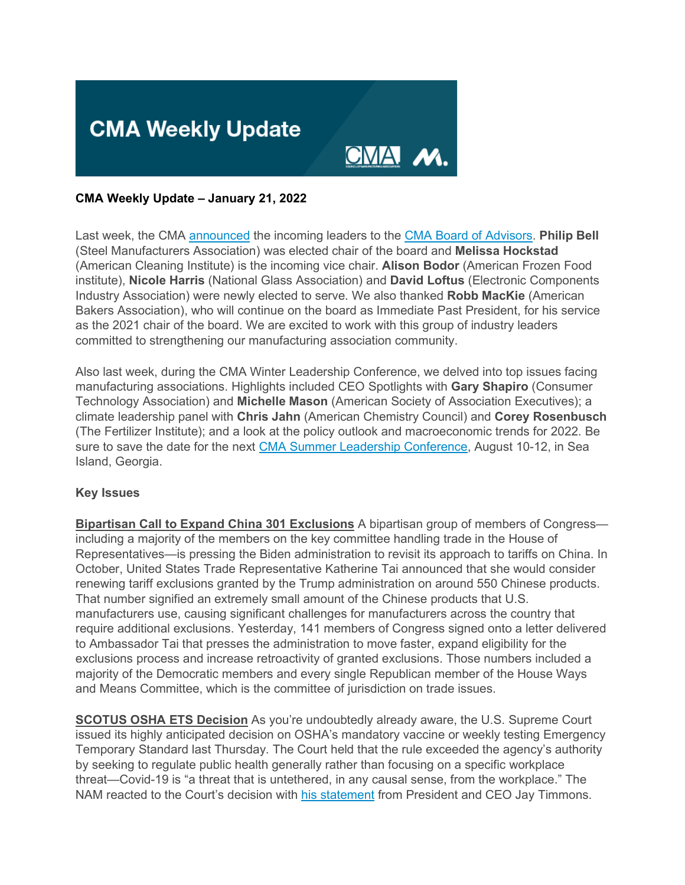

#### **CMA Weekly Update – January 21, 2022**

Last week, the CMA [announced](https://click.email.nam.org/?qs=c84118361ea9aabada597fe6ffc92c5115aab69543e043c2f15990ff41ab4f10a70b57de63652e9140b18622bde4fba8b316fb7cfecd4693) the incoming leaders to the [CMA Board of Advisors.](https://click.email.nam.org/?qs=c84118361ea9aabab0277884835045d97a854f046b2f218fae6e0ba36bbe9f3623a9e2c4bb1e918fba1b025ee882108fd488c3c06c56ec6c) **Philip Bell** (Steel Manufacturers Association) was elected chair of the board and **Melissa Hockstad** (American Cleaning Institute) is the incoming vice chair. **Alison Bodor** (American Frozen Food institute), **Nicole Harris** (National Glass Association) and **David Loftus** (Electronic Components Industry Association) were newly elected to serve. We also thanked **Robb MacKie** (American Bakers Association), who will continue on the board as Immediate Past President, for his service as the 2021 chair of the board. We are excited to work with this group of industry leaders committed to strengthening our manufacturing association community.

Also last week, during the CMA Winter Leadership Conference, we delved into top issues facing manufacturing associations. Highlights included CEO Spotlights with **Gary Shapiro** (Consumer Technology Association) and **Michelle Mason** (American Society of Association Executives); a climate leadership panel with **Chris Jahn** (American Chemistry Council) and **Corey Rosenbusch** (The Fertilizer Institute); and a look at the policy outlook and macroeconomic trends for 2022. Be sure to save the date for the next [CMA Summer Leadership Conference,](https://click.email.nam.org/?qs=c84118361ea9aaba2db0f7e58f7dcc02bbaaf3191989b9833eb64f5d92c129baa2b59650b896a014ac1799e71d1a08c39869f8b20d41a18a) August 10-12, in Sea Island, Georgia.

#### **Key Issues**

**Bipartisan Call to Expand China 301 Exclusions** A bipartisan group of members of Congress including a majority of the members on the key committee handling trade in the House of Representatives—is pressing the Biden administration to revisit its approach to tariffs on China. In October, United States Trade Representative Katherine Tai announced that she would consider renewing tariff exclusions granted by the Trump administration on around 550 Chinese products. That number signified an extremely small amount of the Chinese products that U.S. manufacturers use, causing significant challenges for manufacturers across the country that require additional exclusions. Yesterday, 141 members of Congress signed onto a letter delivered to Ambassador Tai that presses the administration to move faster, expand eligibility for the exclusions process and increase retroactivity of granted exclusions. Those numbers included a majority of the Democratic members and every single Republican member of the House Ways and Means Committee, which is the committee of jurisdiction on trade issues.

**SCOTUS OSHA ETS Decision** As you're undoubtedly already aware, the U.S. Supreme Court issued its highly anticipated decision on OSHA's mandatory vaccine or weekly testing Emergency Temporary Standard last Thursday. The Court held that the rule exceeded the agency's authority by seeking to regulate public health generally rather than focusing on a specific workplace threat—Covid-19 is "a threat that is untethered, in any causal sense, from the workplace." The NAM reacted to the Court's decision with [his statement](https://click.email.nam.org/?qs=c84118361ea9aaba3880096c9488a0798ed02a1d8df7b35c2a315228abc4fccfd8d68417a2caa09cc934745d8ebb148ee76dc8a4426acdaf) from President and CEO Jay Timmons.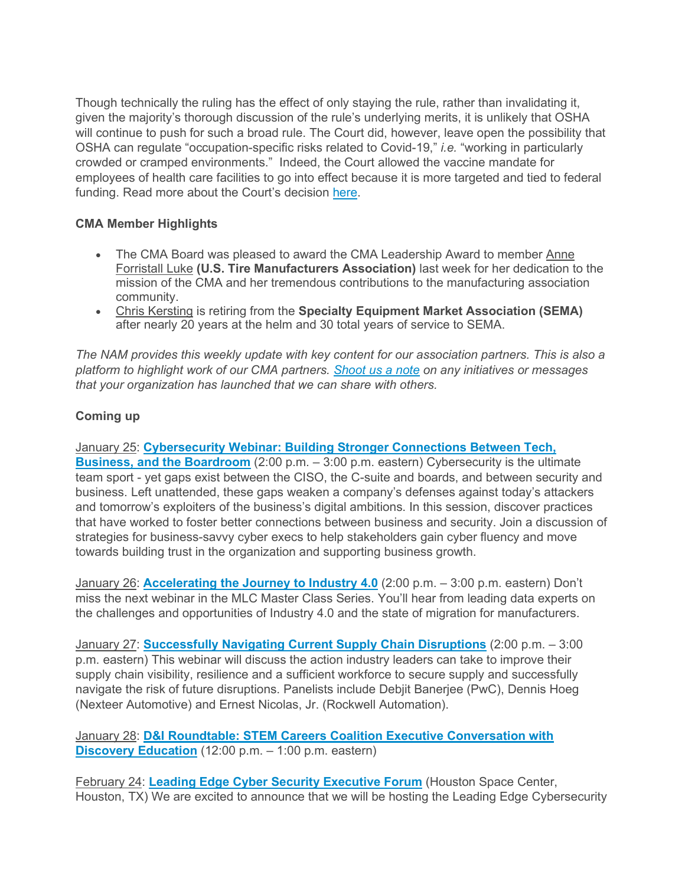Though technically the ruling has the effect of only staying the rule, rather than invalidating it, given the majority's thorough discussion of the rule's underlying merits, it is unlikely that OSHA will continue to push for such a broad rule. The Court did, however, leave open the possibility that OSHA can regulate "occupation-specific risks related to Covid-19," *i.e.* "working in particularly crowded or cramped environments." Indeed, the Court allowed the vaccine mandate for employees of health care facilities to go into effect because it is more targeted and tied to federal funding. Read more about the Court's decision [here.](https://click.email.nam.org/?qs=c84118361ea9aaba1d699a8a8293a7c86bf1a261691eab404510690df8458283dd6a2aee01c6e0213430a735f6ddc593aeca46a908a39853)

### **CMA Member Highlights**

- The CMA Board was pleased to award the CMA Leadership Award to member Anne Forristall Luke **(U.S. Tire Manufacturers Association)** last week for her dedication to the mission of the CMA and her tremendous contributions to the manufacturing association community.
- Chris Kersting is retiring from the **Specialty Equipment Market Association (SEMA)**  after nearly 20 years at the helm and 30 total years of service to SEMA.

*The NAM provides this weekly update with key content for our association partners. This is also a platform to highlight work of our CMA partners. [Shoot us a note](mailto:sthompson@nam.org?subject=) on any initiatives or messages that your organization has launched that we can share with others.*

#### **Coming up**

January 25: **[Cybersecurity Webinar: Building Stronger Connections Between Tech,](https://click.email.nam.org/?qs=c84118361ea9aaba3de997bd5c4c7c0e7a73830f33115b1a5921daf266530d908d0e2383aa4ce63ddac95576d2219a862bc3dd33b0738a6a)  [Business, and the Boardroom](https://click.email.nam.org/?qs=c84118361ea9aaba3de997bd5c4c7c0e7a73830f33115b1a5921daf266530d908d0e2383aa4ce63ddac95576d2219a862bc3dd33b0738a6a)** (2:00 p.m. – 3:00 p.m. eastern) Cybersecurity is the ultimate team sport - yet gaps exist between the CISO, the C-suite and boards, and between security and business. Left unattended, these gaps weaken a company's defenses against today's attackers and tomorrow's exploiters of the business's digital ambitions. In this session, discover practices that have worked to foster better connections between business and security. Join a discussion of strategies for business-savvy cyber execs to help stakeholders gain cyber fluency and move towards building trust in the organization and supporting business growth.

January 26: **[Accelerating the Journey to Industry 4.0](https://click.email.nam.org/?qs=c84118361ea9aabad918f0588045559f1eaf226b701b0521ca3e3629801d1938daa57387f438a1c164ebf752eedc2d0a189a69fc927d5b9d)** (2:00 p.m. – 3:00 p.m. eastern) Don't miss the next webinar in the MLC Master Class Series. You'll hear from leading data experts on the challenges and opportunities of Industry 4.0 and the state of migration for manufacturers.

January 27: **[Successfully Navigating Current Supply Chain Disruptions](https://click.email.nam.org/?qs=c84118361ea9aabaddd2ac47f947dac9b5ef8f246725b26b33bf8e1c52393abba0646f146e97f06df09688c8dc6c85bccbeb7cf7f3b5a75a)** (2:00 p.m. – 3:00 p.m. eastern) This webinar will discuss the action industry leaders can take to improve their supply chain visibility, resilience and a sufficient workforce to secure supply and successfully navigate the risk of future disruptions. Panelists include Debjit Banerjee (PwC), Dennis Hoeg (Nexteer Automotive) and Ernest Nicolas, Jr. (Rockwell Automation).

January 28: **[D&I Roundtable: STEM Careers Coalition Executive Conversation with](https://click.email.nam.org/?qs=c84118361ea9aabac98f93e0dc978c30881a9307d82afb9db320c593092b7ddd687ae24421a87a09be1d619d3c6bca7527f9f1b0b6945b66)  [Discovery Education](https://click.email.nam.org/?qs=c84118361ea9aabac98f93e0dc978c30881a9307d82afb9db320c593092b7ddd687ae24421a87a09be1d619d3c6bca7527f9f1b0b6945b66)** (12:00 p.m. – 1:00 p.m. eastern)

February 24: **[Leading Edge Cyber Security Executive Forum](https://click.email.nam.org/?qs=c84118361ea9aaba3de997bd5c4c7c0e7a73830f33115b1a5921daf266530d908d0e2383aa4ce63ddac95576d2219a862bc3dd33b0738a6a)** (Houston Space Center, Houston, TX) We are excited to announce that we will be hosting the Leading Edge Cybersecurity